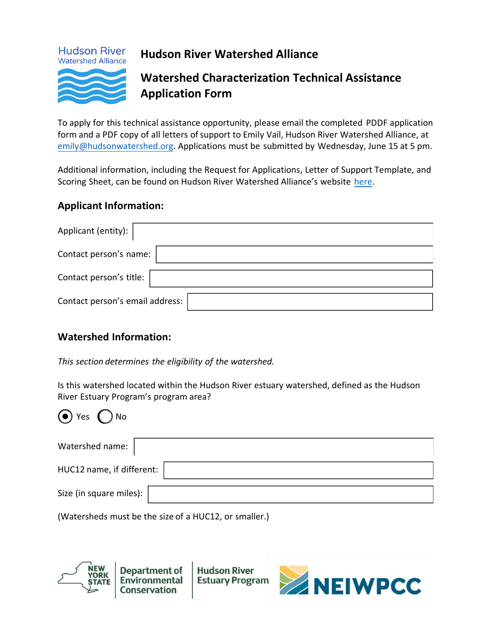# **Hudson River Watershed Alliance**



**Hudson River Watershed Alliance** 

# **Watershed Characterization Technical Assistance Application Form**

To apply for this technical assistance opportunity, please email the completed PDDF application form and a PDF copy of all letters of support to Emily Vail, Hudson River Watershed Alliance, at [emily@hudsonwatershed.org.](mailto:emily@hudsonwatershed.org) Applications must be submitted by Wednesday, June 15 at 5 pm.

Additional information, including the Request for Applications, Letter of Support Template, and Scoring Sheet, can be found on Hudson River Watershed Alliance's website [here.](https://hudsonwatershed.org/watershed-characterization-technical-assistance)

#### **Applicant Information:**

| Applicant (entity): $\vert$     |
|---------------------------------|
| Contact person's name:          |
| Contact person's title:         |
| Contact person's email address: |

#### **Watershed Information:**

 $\left( \bullet \right)$  Yes  $\left( \begin{array}{c} \bullet \end{array} \right)$  No

*This section determines the eligibility of the watershed.* 

Is this watershed located within the Hudson River estuary watershed, defined as the Hudson River Estuary Program's program area?

| Watershed name:                 |  |  |
|---------------------------------|--|--|
| HUC12 name, if different:       |  |  |
| Size (in square miles): $\vert$ |  |  |

(Watersheds must be the size of a HUC12, or smaller.)



**Hudson River Estuary Program** 

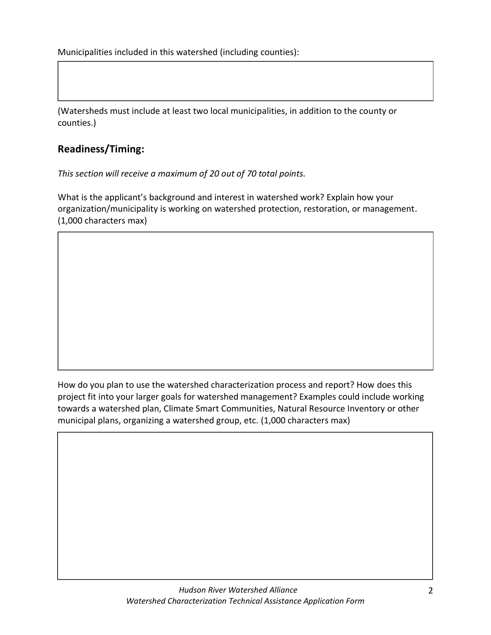Municipalities included in this watershed (including counties):

(Watersheds must include at least two local municipalities, in addition to the county or counties.)

### **Readiness/Timing:**

*This section will receive a maximum of 20 out of 70 total points.*

What is the applicant's background and interest in watershed work? Explain how your organization/municipality is working on watershed protection, restoration, or management. (1,000 characters max)

How do you plan to use the watershed characterization process and report? How does this project fit into your larger goals for watershed management? Examples could include working towards a watershed plan, Climate Smart Communities, Natural Resource Inventory or other municipal plans, organizing a watershed group, etc. (1,000 characters max)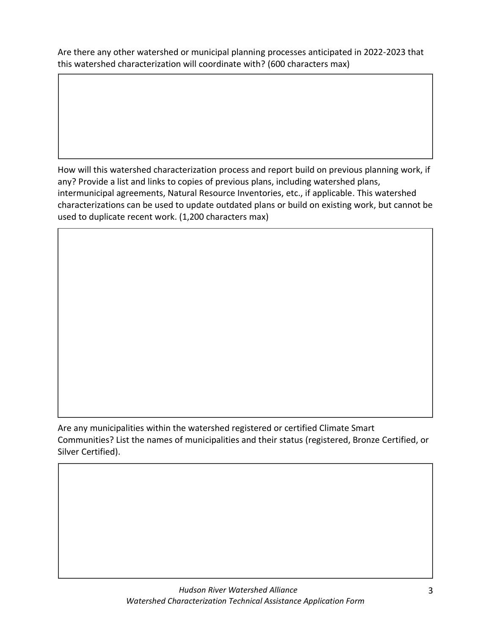Are there any other watershed or municipal planning processes anticipated in 2022-2023 that this watershed characterization will coordinate with? (600 characters max)

How will this watershed characterization process and report build on previous planning work, if any? Provide a list and links to copies of previous plans, including watershed plans, intermunicipal agreements, Natural Resource Inventories, etc., if applicable. This watershed characterizations can be used to update outdated plans or build on existing work, but cannot be used to duplicate recent work. (1,200 characters max)

Are any municipalities within the watershed registered or certified Climate Smart Communities? List the names of municipalities and their status (registered, Bronze Certified, or Silver Certified).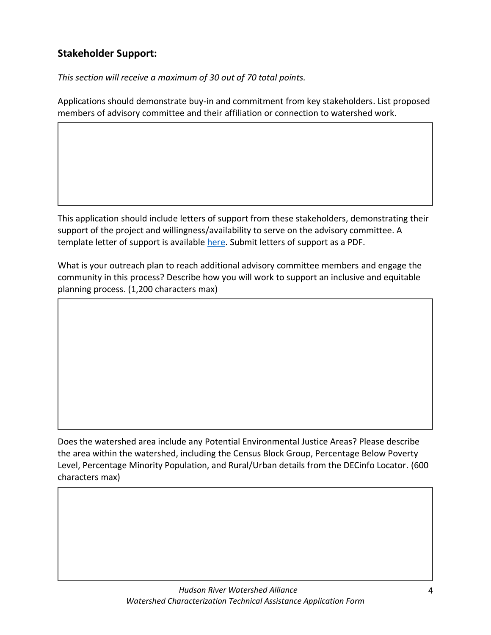## **Stakeholder Support:**

*This section will receive a maximum of 30 out of 70 total points.*

Applications should demonstrate buy-in and commitment from key stakeholders. List proposed members of advisory committee and their affiliation or connection to watershed work.

This application should include letters of support from these stakeholders, demonstrating their support of the project and willingness/availability to serve on the advisory committee. A template letter of support is available [here.](https://hudsonwatershed.org/wp-content/uploads/Watershed-Characterization-Technical-Assistance-Letter-of-Support-Template.docx) Submit letters of support as a PDF.

What is your outreach plan to reach additional advisory committee members and engage the community in this process? Describe how you will work to support an inclusive and equitable planning process. (1,200 characters max)

Does the watershed area include any Potential Environmental Justice Areas? Please describe the area within the watershed, including the Census Block Group, Percentage Below Poverty Level, Percentage Minority Population, and Rural/Urban details from the DECinfo Locator. (600 characters max)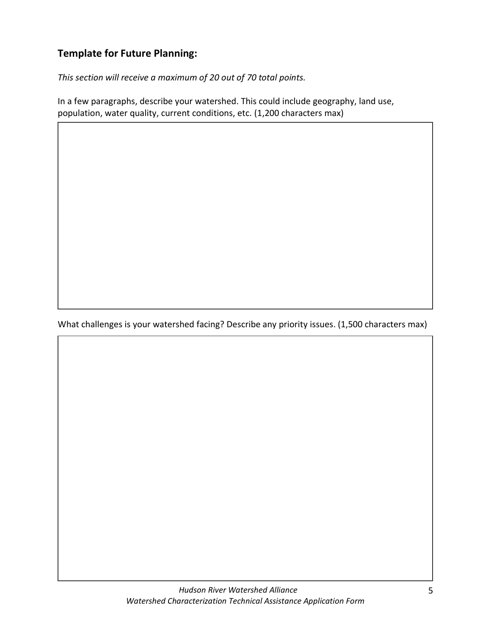### **Template for Future Planning:**

*This section will receive a maximum of 20 out of 70 total points.* 

In a few paragraphs, describe your watershed. This could include geography, land use, population, water quality, current conditions, etc. (1,200 characters max)

What challenges is your watershed facing? Describe any priority issues. (1,500 characters max)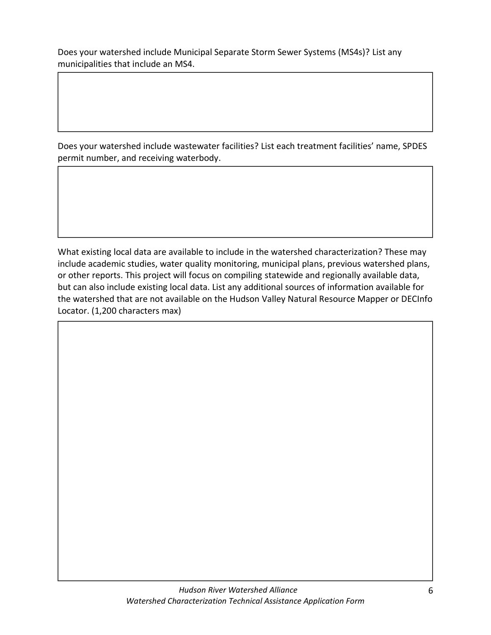Does your watershed include Municipal Separate Storm Sewer Systems (MS4s)? List any municipalities that include an MS4.

Does your watershed include wastewater facilities? List each treatment facilities' name, SPDES permit number, and receiving waterbody.

What existing local data are available to include in the watershed characterization? These may include academic studies, water quality monitoring, municipal plans, previous watershed plans, or other reports. This project will focus on compiling statewide and regionally available data, but can also include existing local data. List any additional sources of information available for the watershed that are not available on the Hudson Valley Natural Resource Mapper or DECInfo Locator. (1,200 characters max)